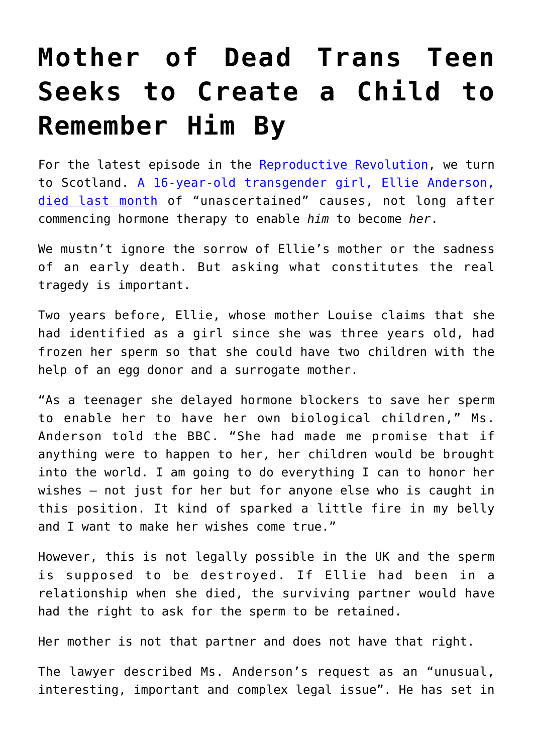## **[Mother of Dead Trans Teen](https://intellectualtakeout.org/2020/09/mother-of-dead-trans-teen-seeks-to-create-a-child-to-remember-him-by/) [Seeks to Create a Child to](https://intellectualtakeout.org/2020/09/mother-of-dead-trans-teen-seeks-to-create-a-child-to-remember-him-by/) [Remember Him By](https://intellectualtakeout.org/2020/09/mother-of-dead-trans-teen-seeks-to-create-a-child-to-remember-him-by/)**

For the latest episode in the [Reproductive Revolution,](https://www.bioedge.org/bioethics/tag/reproductive+revolution) we turn to Scotland. [A 16-year-old transgender girl, Ellie Anderson,](https://www.bbc.com/news/uk-scotland-glasgow-west-53889359) [died last month](https://www.bbc.com/news/uk-scotland-glasgow-west-53889359) of "unascertained" causes, not long after commencing hormone therapy to enable *him* to become *her*.

We mustn't ignore the sorrow of Ellie's mother or the sadness of an early death. But asking what constitutes the real tragedy is important.

Two years before, Ellie, whose mother Louise claims that she had identified as a girl since she was three years old, had frozen her sperm so that she could have two children with the help of an egg donor and a surrogate mother.

"As a teenager she delayed hormone blockers to save her sperm to enable her to have her own biological children," Ms. Anderson told the BBC. "She had made me promise that if anything were to happen to her, her children would be brought into the world. I am going to do everything I can to honor her wishes — not just for her but for anyone else who is caught in this position. It kind of sparked a little fire in my belly and I want to make her wishes come true."

However, this is not legally possible in the UK and the sperm is supposed to be destroyed. If Ellie had been in a relationship when she died, the surviving partner would have had the right to ask for the sperm to be retained.

Her mother is not that partner and does not have that right.

The lawyer described Ms. Anderson's request as an "unusual, interesting, important and complex legal issue". He has set in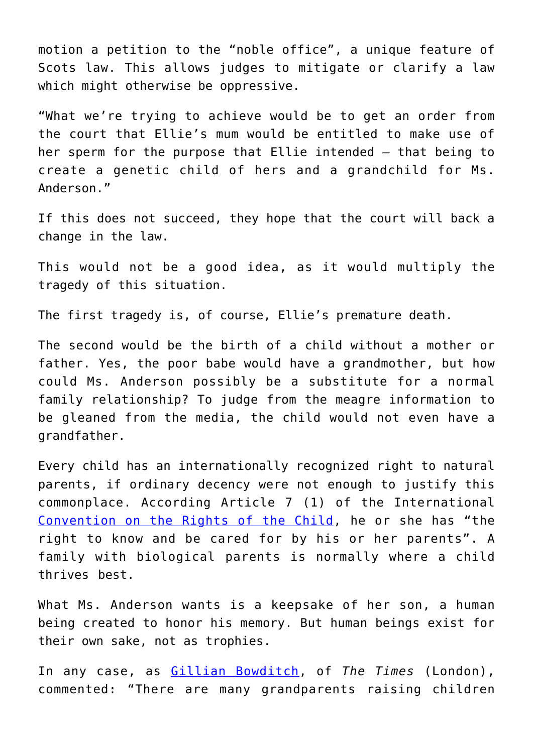motion a petition to the "noble office", a unique feature of Scots law. This allows judges to mitigate or clarify a law which might otherwise be oppressive.

"What we're trying to achieve would be to get an order from the court that Ellie's mum would be entitled to make use of her sperm for the purpose that Ellie intended — that being to create a genetic child of hers and a grandchild for Ms. Anderson."

If this does not succeed, they hope that the court will back a change in the law.

This would not be a good idea, as it would multiply the tragedy of this situation.

The first tragedy is, of course, Ellie's premature death.

The second would be the birth of a child without a mother or father. Yes, the poor babe would have a grandmother, but how could Ms. Anderson possibly be a substitute for a normal family relationship? To judge from the meagre information to be gleaned from the media, the child would not even have a grandfather.

Every child has an internationally recognized right to natural parents, if ordinary decency were not enough to justify this commonplace. According Article 7 (1) of the International [Convention on the Rights of the Child,](https://www.ohchr.org/en/professionalinterest/pages/crc.aspx) he or she has "the right to know and be cared for by his or her parents". A family with biological parents is normally where a child thrives best.

What Ms. Anderson wants is a keepsake of her son, a human being created to honor his memory. But human beings exist for their own sake, not as trophies.

In any case, as [Gillian Bowditch](https://www.thetimes.co.uk/article/gillian-bowditch-louise-andersons-battle-for-a-baby-will-only-bear-more-hurt-6s9dkxn5g), of *The Times* (London), commented: "There are many grandparents raising children